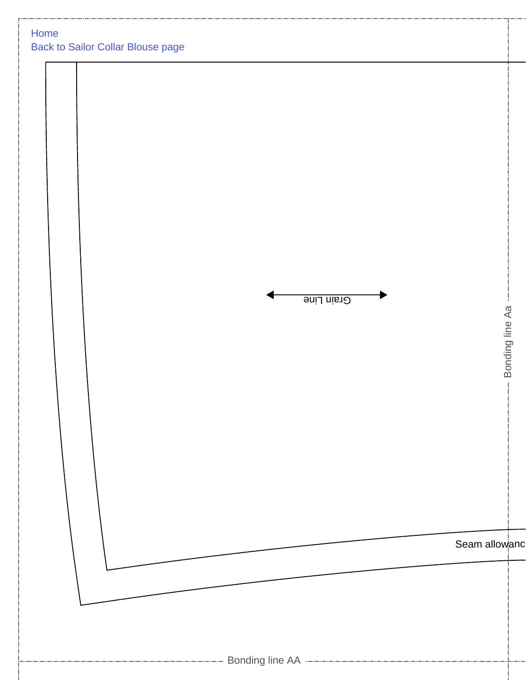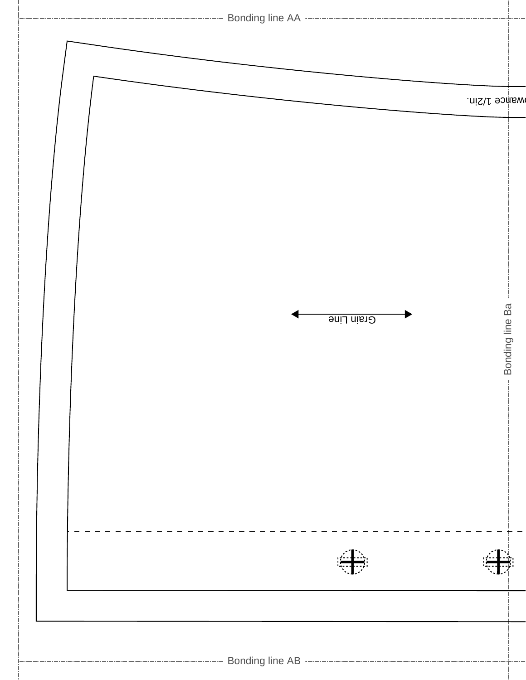|            | wamce 1/2in.      |
|------------|-------------------|
| Grain Line | - Bonding line Ba |
|            |                   |
|            |                   |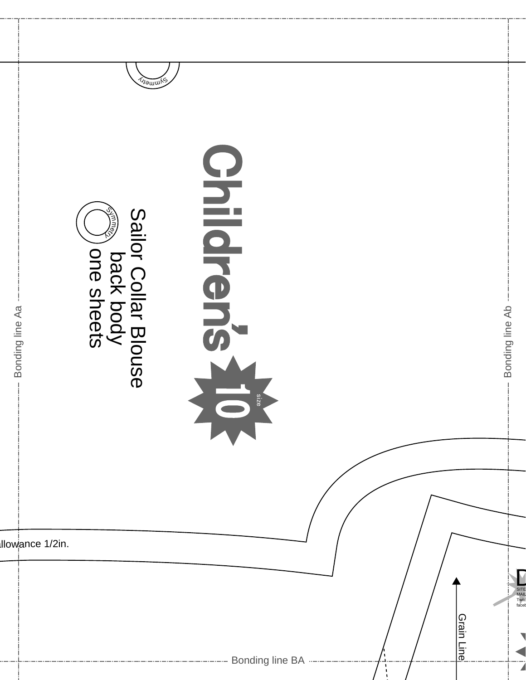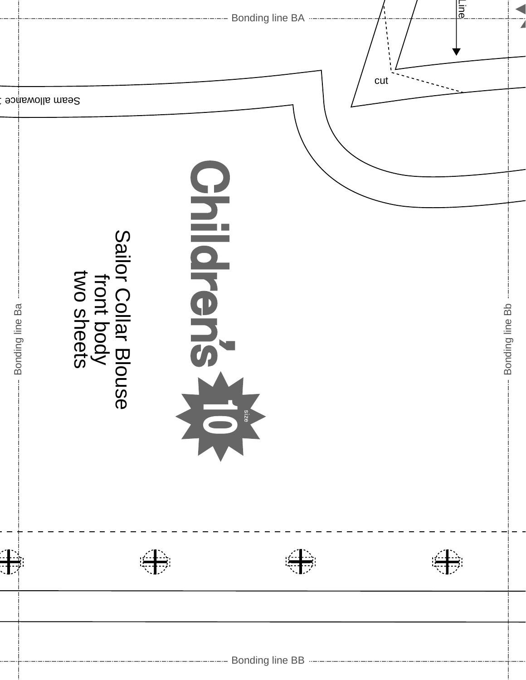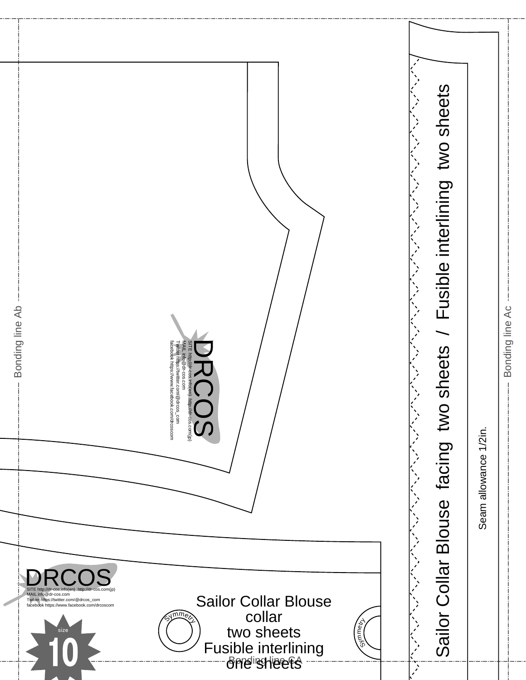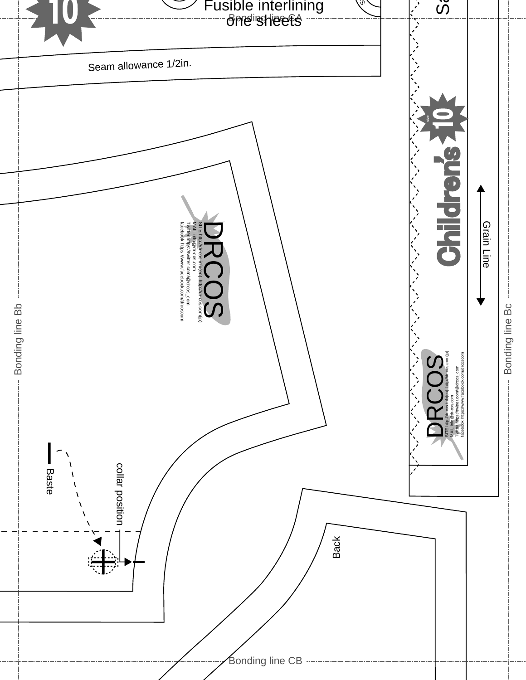